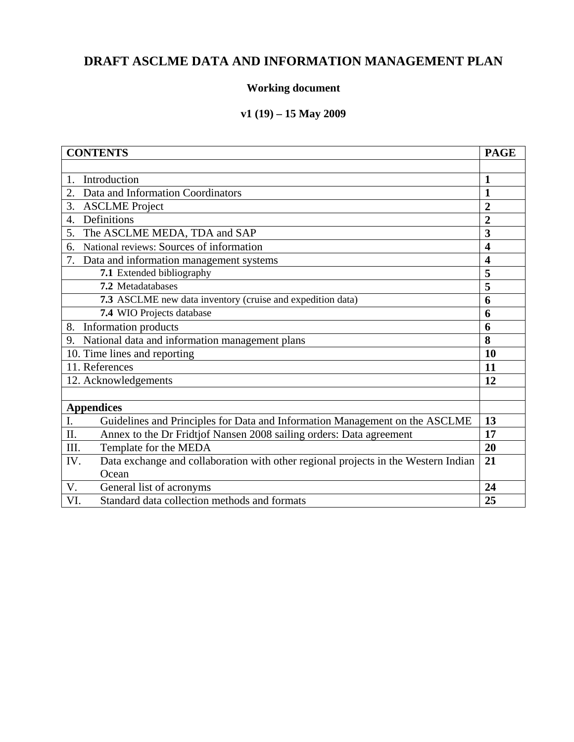# **DRAFT ASCLME DATA AND INFORMATION MANAGEMENT PLAN**

# **Working document**

# **v1 (19) – 15 May 2009**

| <b>CONTENTS</b>                                                                           |                |  |
|-------------------------------------------------------------------------------------------|----------------|--|
|                                                                                           |                |  |
| Introduction<br>1.                                                                        | 1              |  |
| Data and Information Coordinators<br>2.                                                   | 1              |  |
| 3.<br><b>ASCLME</b> Project                                                               | $\overline{2}$ |  |
| Definitions<br>$\overline{4}$ .                                                           | $\overline{2}$ |  |
| The ASCLME MEDA, TDA and SAP<br>5.                                                        | 3              |  |
| National reviews: Sources of information<br>6.                                            | 4              |  |
| Data and information management systems<br>7.                                             | 4              |  |
| 7.1 Extended bibliography                                                                 | 5              |  |
| 7.2 Metadatabases                                                                         | 5              |  |
| 7.3 ASCLME new data inventory (cruise and expedition data)                                | 6              |  |
| 7.4 WIO Projects database                                                                 | 6              |  |
| 8. Information products                                                                   |                |  |
| National data and information management plans<br>9.                                      | 8              |  |
| 10. Time lines and reporting                                                              | 10             |  |
| 11. References                                                                            | 11             |  |
| 12. Acknowledgements                                                                      | 12             |  |
|                                                                                           |                |  |
| <b>Appendices</b>                                                                         |                |  |
| I.<br>Guidelines and Principles for Data and Information Management on the ASCLME         | 13             |  |
| Annex to the Dr Fridtjof Nansen 2008 sailing orders: Data agreement<br>Π.                 | 17             |  |
| III.<br>Template for the MEDA                                                             | 20             |  |
| Data exchange and collaboration with other regional projects in the Western Indian<br>IV. | 21             |  |
| Ocean                                                                                     |                |  |
| V.<br>General list of acronyms                                                            | 24             |  |
| Standard data collection methods and formats<br>VI.                                       | 25             |  |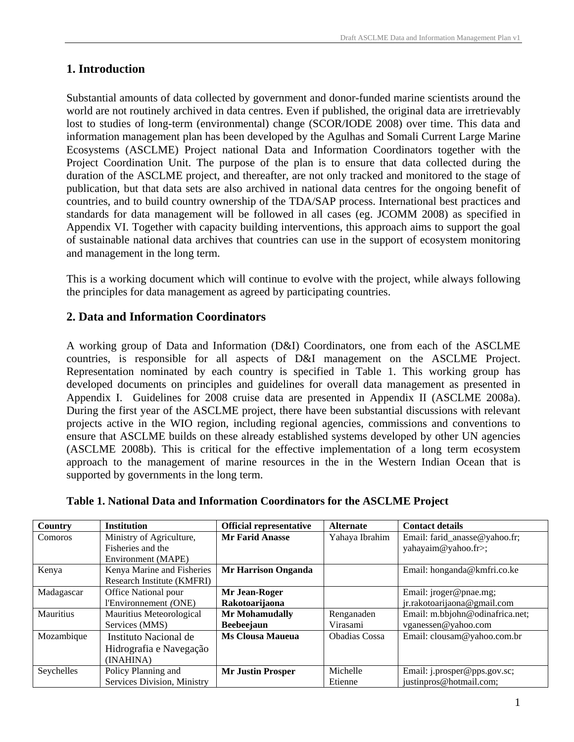# **1. Introduction**

Substantial amounts of data collected by government and donor-funded marine scientists around the world are not routinely archived in data centres. Even if published, the original data are irretrievably lost to studies of long-term (environmental) change (SCOR/IODE 2008) over time. This data and information management plan has been developed by the Agulhas and Somali Current Large Marine Ecosystems (ASCLME) Project national Data and Information Coordinators together with the Project Coordination Unit. The purpose of the plan is to ensure that data collected during the duration of the ASCLME project, and thereafter, are not only tracked and monitored to the stage of publication, but that data sets are also archived in national data centres for the ongoing benefit of countries, and to build country ownership of the TDA/SAP process. International best practices and standards for data management will be followed in all cases (eg. JCOMM 2008) as specified in Appendix VI. Together with capacity building interventions, this approach aims to support the goal of sustainable national data archives that countries can use in the support of ecosystem monitoring and management in the long term.

This is a working document which will continue to evolve with the project, while always following the principles for data management as agreed by participating countries.

# **2. Data and Information Coordinators**

A working group of Data and Information (D&I) Coordinators, one from each of the ASCLME countries, is responsible for all aspects of D&I management on the ASCLME Project. Representation nominated by each country is specified in Table 1. This working group has developed documents on principles and guidelines for overall data management as presented in Appendix I. Guidelines for 2008 cruise data are presented in Appendix II (ASCLME 2008a). During the first year of the ASCLME project, there have been substantial discussions with relevant projects active in the WIO region, including regional agencies, commissions and conventions to ensure that ASCLME builds on these already established systems developed by other UN agencies (ASCLME 2008b). This is critical for the effective implementation of a long term ecosystem approach to the management of marine resources in the in the Western Indian Ocean that is supported by governments in the long term.

| <b>Country</b> | <b>Institution</b>          | <b>Official representative</b> | <b>Alternate</b>     | <b>Contact details</b>          |
|----------------|-----------------------------|--------------------------------|----------------------|---------------------------------|
| Comoros        | Ministry of Agriculture,    | <b>Mr Farid Anasse</b>         | Yahaya Ibrahim       | Email: farid_anasse@yahoo.fr;   |
|                | Fisheries and the           |                                |                      | yahayaim@yahoo.fr>;             |
|                | Environment (MAPE)          |                                |                      |                                 |
| Kenya          | Kenya Marine and Fisheries  | <b>Mr Harrison Onganda</b>     |                      | Email: honganda@kmfri.co.ke     |
|                | Research Institute (KMFRI)  |                                |                      |                                 |
| Madagascar     | Office National pour        | Mr Jean-Roger                  |                      | Email: jroger@pnae.mg;          |
|                | l'Environnement (ONE)       | Rakotoarijaona                 |                      | jr.rakotoarijaona@gmail.com     |
| Mauritius      | Mauritius Meteorological    | <b>Mr Mohamudally</b>          | Renganaden           | Email: m.bbjohn@odinafrica.net; |
|                | Services (MMS)              | <b>Beebeejaun</b>              | Virasami             | vganessen@yahoo.com             |
| Mozambique     | Instituto Nacional de       | <b>Ms Clousa Maueua</b>        | <b>Obadias</b> Cossa | Email: clousam@yahoo.com.br     |
|                | Hidrografia e Navegação     |                                |                      |                                 |
|                | (INAHINA)                   |                                |                      |                                 |
| Seychelles     | Policy Planning and         | <b>Mr Justin Prosper</b>       | Michelle             | Email: j.prosper@pps.gov.sc;    |
|                | Services Division, Ministry |                                | Etienne              | justinpros@hotmail.com;         |

## **Table 1. National Data and Information Coordinators for the ASCLME Project**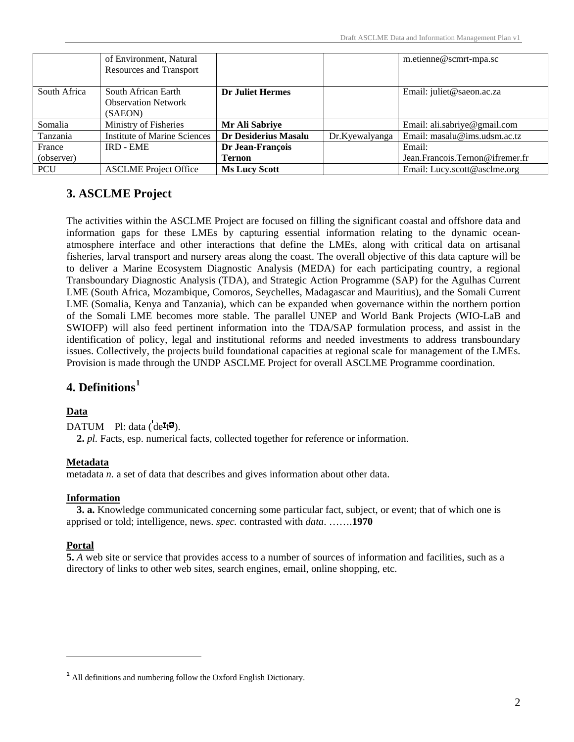|              | of Environment, Natural             |                         |                | m.etienne@scmrt-mpa.sc          |
|--------------|-------------------------------------|-------------------------|----------------|---------------------------------|
|              | Resources and Transport             |                         |                |                                 |
|              |                                     |                         |                |                                 |
|              |                                     |                         |                |                                 |
| South Africa | South African Earth                 | <b>Dr Juliet Hermes</b> |                | Email: juliet@saeon.ac.za       |
|              | <b>Observation Network</b>          |                         |                |                                 |
|              | (SAEON)                             |                         |                |                                 |
| Somalia      | Ministry of Fisheries               | Mr Ali Sabriye          |                | Email: ali.sabriye@gmail.com    |
| Tanzania     | <b>Institute of Marine Sciences</b> | Dr Desiderius Masalu    | Dr.Kyewalyanga | Email: masalu@ims.udsm.ac.tz    |
| France       | <b>IRD - EME</b>                    | Dr Jean-François        |                | Email:                          |
| (observer)   |                                     | <b>Ternon</b>           |                | Jean.Francois.Ternon@ifremer.fr |
| <b>PCU</b>   | <b>ASCLME</b> Project Office        | <b>Ms Lucy Scott</b>    |                | Email: Lucy.scott@asclme.org    |

# **3. ASCLME Project**

The activities within the ASCLME Project are focused on filling the significant coastal and offshore data and information gaps for these LMEs by capturing essential information relating to the dynamic oceanatmosphere interface and other interactions that define the LMEs, along with critical data on artisanal fisheries, larval transport and nursery areas along the coast. The overall objective of this data capture will be to deliver a Marine Ecosystem Diagnostic Analysis (MEDA) for each participating country, a regional Transboundary Diagnostic Analysis (TDA), and Strategic Action Programme (SAP) for the Agulhas Current LME (South Africa, Mozambique, Comoros, Seychelles, Madagascar and Mauritius), and the Somali Current LME (Somalia, Kenya and Tanzania), which can be expanded when governance within the northern portion of the Somali LME becomes more stable. The parallel UNEP and World Bank Projects (WIO-LaB and SWIOFP) will also feed pertinent information into the TDA/SAP formulation process, and assist in the identification of policy, legal and institutional reforms and needed investments to address transboundary issues. Collectively, the projects build foundational capacities at regional scale for management of the LMEs. Provision is made through the UNDP ASCLME Project for overall ASCLME Programme coordination.

# **4. Definitions<sup>1</sup>**

# **Data**

DATUM Pl: data  $(de<sup>T</sup>e<sup>T</sup>)$ .

**2.** *pl.* Facts, esp. numerical facts, collected together for reference or information.

# **Metadata**

metadata *n.* a set of data that describes and gives information about other data.

## **Information**

 **3. a.** Knowledge communicated concerning some particular fact, subject, or event; that of which one is apprised or told; intelligence, news. *spec.* contrasted with *data*. …….**1970**

# **Portal**

 $\overline{a}$ 

**5.** *A* web site or service that provides access to a number of sources of information and facilities, such as a directory of links to other web sites, search engines, email, online shopping, etc.

**<sup>1</sup>** All definitions and numbering follow the Oxford English Dictionary.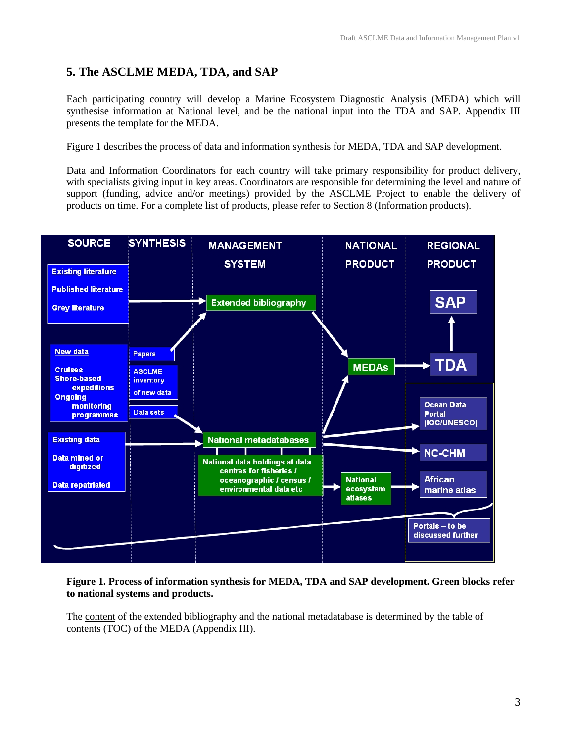# **5. The ASCLME MEDA, TDA, and SAP**

Each participating country will develop a Marine Ecosystem Diagnostic Analysis (MEDA) which will synthesise information at National level, and be the national input into the TDA and SAP. Appendix III presents the template for the MEDA.

Figure 1 describes the process of data and information synthesis for MEDA, TDA and SAP development.

Data and Information Coordinators for each country will take primary responsibility for product delivery, with specialists giving input in key areas. Coordinators are responsible for determining the level and nature of support (funding, advice and/or meetings) provided by the ASCLME Project to enable the delivery of products on time. For a complete list of products, please refer to Section 8 (Information products).



#### **Figure 1. Process of information synthesis for MEDA, TDA and SAP development. Green blocks refer to national systems and products.**

The content of the extended bibliography and the national metadatabase is determined by the table of contents (TOC) of the MEDA (Appendix III).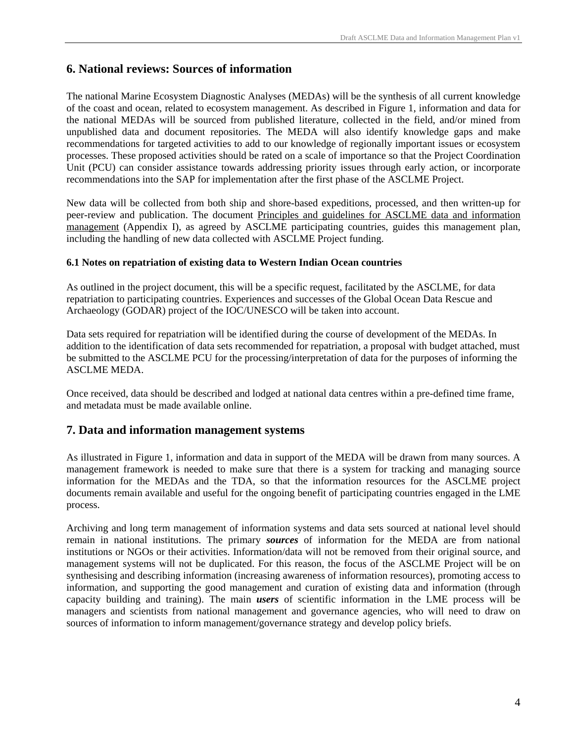# **6. National reviews: Sources of information**

The national Marine Ecosystem Diagnostic Analyses (MEDAs) will be the synthesis of all current knowledge of the coast and ocean, related to ecosystem management. As described in Figure 1, information and data for the national MEDAs will be sourced from published literature, collected in the field, and/or mined from unpublished data and document repositories. The MEDA will also identify knowledge gaps and make recommendations for targeted activities to add to our knowledge of regionally important issues or ecosystem processes. These proposed activities should be rated on a scale of importance so that the Project Coordination Unit (PCU) can consider assistance towards addressing priority issues through early action, or incorporate recommendations into the SAP for implementation after the first phase of the ASCLME Project.

New data will be collected from both ship and shore-based expeditions, processed, and then written-up for peer-review and publication. The document Principles and guidelines for ASCLME data and information management (Appendix I), as agreed by ASCLME participating countries, guides this management plan, including the handling of new data collected with ASCLME Project funding.

## **6.1 Notes on repatriation of existing data to Western Indian Ocean countries**

As outlined in the project document, this will be a specific request, facilitated by the ASCLME, for data repatriation to participating countries. Experiences and successes of the Global Ocean Data Rescue and Archaeology (GODAR) project of the IOC/UNESCO will be taken into account.

Data sets required for repatriation will be identified during the course of development of the MEDAs. In addition to the identification of data sets recommended for repatriation, a proposal with budget attached, must be submitted to the ASCLME PCU for the processing/interpretation of data for the purposes of informing the ASCLME MEDA.

Once received, data should be described and lodged at national data centres within a pre-defined time frame, and metadata must be made available online.

# **7. Data and information management systems**

As illustrated in Figure 1, information and data in support of the MEDA will be drawn from many sources. A management framework is needed to make sure that there is a system for tracking and managing source information for the MEDAs and the TDA, so that the information resources for the ASCLME project documents remain available and useful for the ongoing benefit of participating countries engaged in the LME process.

Archiving and long term management of information systems and data sets sourced at national level should remain in national institutions. The primary *sources* of information for the MEDA are from national institutions or NGOs or their activities. Information/data will not be removed from their original source, and management systems will not be duplicated. For this reason, the focus of the ASCLME Project will be on synthesising and describing information (increasing awareness of information resources), promoting access to information, and supporting the good management and curation of existing data and information (through capacity building and training). The main *users* of scientific information in the LME process will be managers and scientists from national management and governance agencies, who will need to draw on sources of information to inform management/governance strategy and develop policy briefs.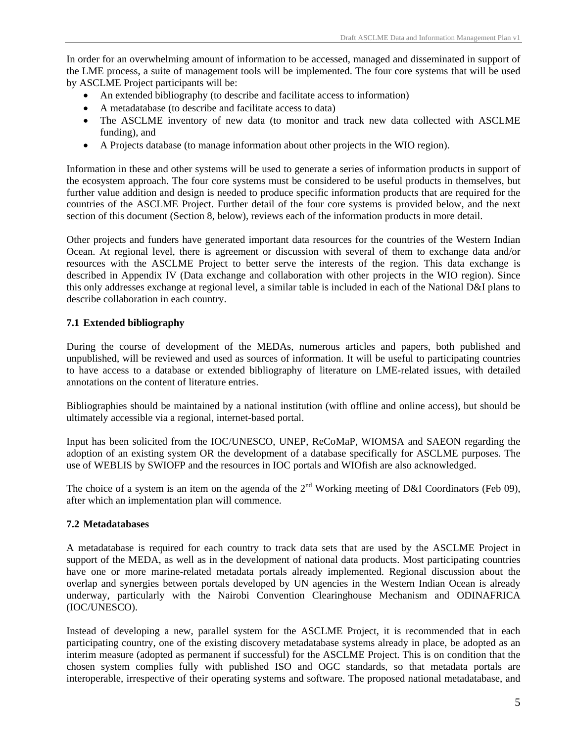In order for an overwhelming amount of information to be accessed, managed and disseminated in support of the LME process, a suite of management tools will be implemented. The four core systems that will be used by ASCLME Project participants will be:

- An extended bibliography (to describe and facilitate access to information)
- A metadatabase (to describe and facilitate access to data)
- The ASCLME inventory of new data (to monitor and track new data collected with ASCLME funding), and
- A Projects database (to manage information about other projects in the WIO region).

Information in these and other systems will be used to generate a series of information products in support of the ecosystem approach. The four core systems must be considered to be useful products in themselves, but further value addition and design is needed to produce specific information products that are required for the countries of the ASCLME Project. Further detail of the four core systems is provided below, and the next section of this document (Section 8, below), reviews each of the information products in more detail.

Other projects and funders have generated important data resources for the countries of the Western Indian Ocean. At regional level, there is agreement or discussion with several of them to exchange data and/or resources with the ASCLME Project to better serve the interests of the region. This data exchange is described in Appendix IV (Data exchange and collaboration with other projects in the WIO region). Since this only addresses exchange at regional level, a similar table is included in each of the National D&I plans to describe collaboration in each country.

## **7.1 Extended bibliography**

During the course of development of the MEDAs, numerous articles and papers, both published and unpublished, will be reviewed and used as sources of information. It will be useful to participating countries to have access to a database or extended bibliography of literature on LME-related issues, with detailed annotations on the content of literature entries.

Bibliographies should be maintained by a national institution (with offline and online access), but should be ultimately accessible via a regional, internet-based portal.

Input has been solicited from the IOC/UNESCO, UNEP, ReCoMaP, WIOMSA and SAEON regarding the adoption of an existing system OR the development of a database specifically for ASCLME purposes. The use of WEBLIS by SWIOFP and the resources in IOC portals and WIOfish are also acknowledged.

The choice of a system is an item on the agenda of the  $2<sup>nd</sup>$  Working meeting of D&I Coordinators (Feb 09), after which an implementation plan will commence.

## **7.2 Metadatabases**

A metadatabase is required for each country to track data sets that are used by the ASCLME Project in support of the MEDA, as well as in the development of national data products. Most participating countries have one or more marine-related metadata portals already implemented. Regional discussion about the overlap and synergies between portals developed by UN agencies in the Western Indian Ocean is already underway, particularly with the Nairobi Convention Clearinghouse Mechanism and ODINAFRICA (IOC/UNESCO).

Instead of developing a new, parallel system for the ASCLME Project, it is recommended that in each participating country, one of the existing discovery metadatabase systems already in place, be adopted as an interim measure (adopted as permanent if successful) for the ASCLME Project. This is on condition that the chosen system complies fully with published ISO and OGC standards, so that metadata portals are interoperable, irrespective of their operating systems and software. The proposed national metadatabase, and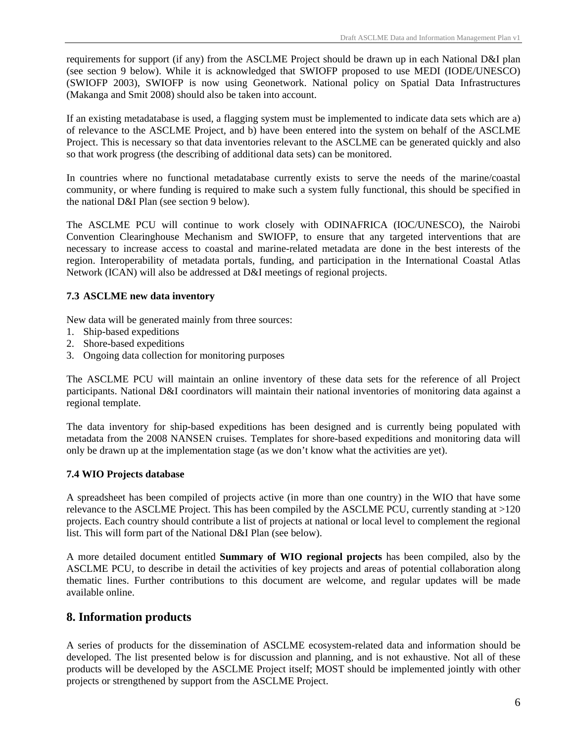requirements for support (if any) from the ASCLME Project should be drawn up in each National D&I plan (see section 9 below). While it is acknowledged that SWIOFP proposed to use MEDI (IODE/UNESCO) (SWIOFP 2003), SWIOFP is now using Geonetwork. National policy on Spatial Data Infrastructures (Makanga and Smit 2008) should also be taken into account.

If an existing metadatabase is used, a flagging system must be implemented to indicate data sets which are a) of relevance to the ASCLME Project, and b) have been entered into the system on behalf of the ASCLME Project. This is necessary so that data inventories relevant to the ASCLME can be generated quickly and also so that work progress (the describing of additional data sets) can be monitored.

In countries where no functional metadatabase currently exists to serve the needs of the marine/coastal community, or where funding is required to make such a system fully functional, this should be specified in the national D&I Plan (see section 9 below).

The ASCLME PCU will continue to work closely with ODINAFRICA (IOC/UNESCO), the Nairobi Convention Clearinghouse Mechanism and SWIOFP, to ensure that any targeted interventions that are necessary to increase access to coastal and marine-related metadata are done in the best interests of the region. Interoperability of metadata portals, funding, and participation in the International Coastal Atlas Network (ICAN) will also be addressed at D&I meetings of regional projects.

# **7.3 ASCLME new data inventory**

New data will be generated mainly from three sources:

- 1. Ship-based expeditions
- 2. Shore-based expeditions
- 3. Ongoing data collection for monitoring purposes

The ASCLME PCU will maintain an online inventory of these data sets for the reference of all Project participants. National D&I coordinators will maintain their national inventories of monitoring data against a regional template.

The data inventory for ship-based expeditions has been designed and is currently being populated with metadata from the 2008 NANSEN cruises. Templates for shore-based expeditions and monitoring data will only be drawn up at the implementation stage (as we don't know what the activities are yet).

## **7.4 WIO Projects database**

A spreadsheet has been compiled of projects active (in more than one country) in the WIO that have some relevance to the ASCLME Project. This has been compiled by the ASCLME PCU, currently standing at >120 projects. Each country should contribute a list of projects at national or local level to complement the regional list. This will form part of the National D&I Plan (see below).

A more detailed document entitled **Summary of WIO regional projects** has been compiled, also by the ASCLME PCU, to describe in detail the activities of key projects and areas of potential collaboration along thematic lines. Further contributions to this document are welcome, and regular updates will be made available online.

# **8. Information products**

A series of products for the dissemination of ASCLME ecosystem-related data and information should be developed. The list presented below is for discussion and planning, and is not exhaustive. Not all of these products will be developed by the ASCLME Project itself; MOST should be implemented jointly with other projects or strengthened by support from the ASCLME Project.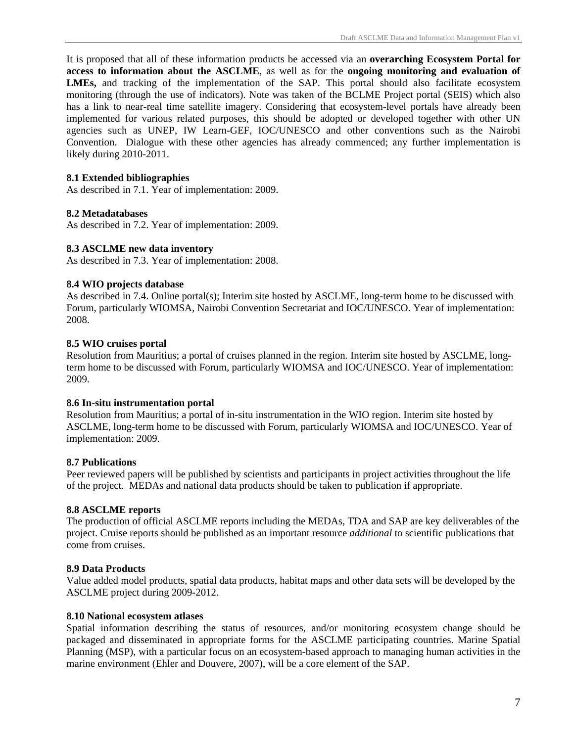It is proposed that all of these information products be accessed via an **overarching Ecosystem Portal for access to information about the ASCLME**, as well as for the **ongoing monitoring and evaluation of LMEs,** and tracking of the implementation of the SAP. This portal should also facilitate ecosystem monitoring (through the use of indicators). Note was taken of the BCLME Project portal (SEIS) which also has a link to near-real time satellite imagery. Considering that ecosystem-level portals have already been implemented for various related purposes, this should be adopted or developed together with other UN agencies such as UNEP, IW Learn-GEF, IOC/UNESCO and other conventions such as the Nairobi Convention. Dialogue with these other agencies has already commenced; any further implementation is likely during 2010-2011.

#### **8.1 Extended bibliographies**

As described in 7.1. Year of implementation: 2009.

#### **8.2 Metadatabases**

As described in 7.2. Year of implementation: 2009.

#### **8.3 ASCLME new data inventory**

As described in 7.3. Year of implementation: 2008.

#### **8.4 WIO projects database**

As described in 7.4. Online portal(s); Interim site hosted by ASCLME, long-term home to be discussed with Forum, particularly WIOMSA, Nairobi Convention Secretariat and IOC/UNESCO. Year of implementation: 2008.

#### **8.5 WIO cruises portal**

Resolution from Mauritius; a portal of cruises planned in the region. Interim site hosted by ASCLME, longterm home to be discussed with Forum, particularly WIOMSA and IOC/UNESCO. Year of implementation: 2009.

#### **8.6 In-situ instrumentation portal**

Resolution from Mauritius; a portal of in-situ instrumentation in the WIO region. Interim site hosted by ASCLME, long-term home to be discussed with Forum, particularly WIOMSA and IOC/UNESCO. Year of implementation: 2009.

#### **8.7 Publications**

Peer reviewed papers will be published by scientists and participants in project activities throughout the life of the project. MEDAs and national data products should be taken to publication if appropriate.

#### **8.8 ASCLME reports**

The production of official ASCLME reports including the MEDAs, TDA and SAP are key deliverables of the project. Cruise reports should be published as an important resource *additional* to scientific publications that come from cruises.

#### **8.9 Data Products**

Value added model products, spatial data products, habitat maps and other data sets will be developed by the ASCLME project during 2009-2012.

#### **8.10 National ecosystem atlases**

Spatial information describing the status of resources, and/or monitoring ecosystem change should be packaged and disseminated in appropriate forms for the ASCLME participating countries. Marine Spatial Planning (MSP), with a particular focus on an ecosystem-based approach to managing human activities in the marine environment (Ehler and Douvere, 2007), will be a core element of the SAP.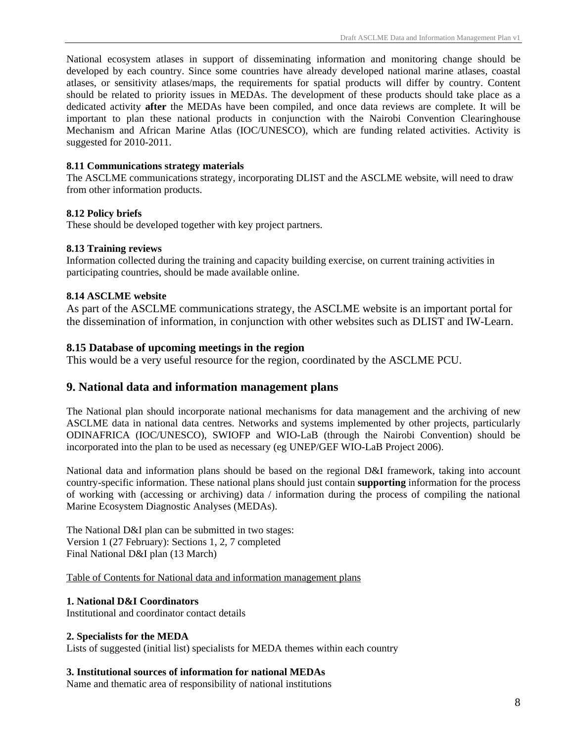National ecosystem atlases in support of disseminating information and monitoring change should be developed by each country. Since some countries have already developed national marine atlases, coastal atlases, or sensitivity atlases/maps, the requirements for spatial products will differ by country. Content should be related to priority issues in MEDAs. The development of these products should take place as a dedicated activity **after** the MEDAs have been compiled, and once data reviews are complete. It will be important to plan these national products in conjunction with the Nairobi Convention Clearinghouse Mechanism and African Marine Atlas (IOC/UNESCO), which are funding related activities. Activity is suggested for 2010-2011.

#### **8.11 Communications strategy materials**

The ASCLME communications strategy, incorporating DLIST and the ASCLME website, will need to draw from other information products.

#### **8.12 Policy briefs**

These should be developed together with key project partners.

#### **8.13 Training reviews**

Information collected during the training and capacity building exercise, on current training activities in participating countries, should be made available online.

#### **8.14 ASCLME website**

As part of the ASCLME communications strategy, the ASCLME website is an important portal for the dissemination of information, in conjunction with other websites such as DLIST and IW-Learn.

## **8.15 Database of upcoming meetings in the region**

This would be a very useful resource for the region, coordinated by the ASCLME PCU.

## **9. National data and information management plans**

The National plan should incorporate national mechanisms for data management and the archiving of new ASCLME data in national data centres. Networks and systems implemented by other projects, particularly ODINAFRICA (IOC/UNESCO), SWIOFP and WIO-LaB (through the Nairobi Convention) should be incorporated into the plan to be used as necessary (eg UNEP/GEF WIO-LaB Project 2006).

National data and information plans should be based on the regional D&I framework, taking into account country-specific information. These national plans should just contain **supporting** information for the process of working with (accessing or archiving) data / information during the process of compiling the national Marine Ecosystem Diagnostic Analyses (MEDAs).

The National D&I plan can be submitted in two stages: Version 1 (27 February): Sections 1, 2, 7 completed Final National D&I plan (13 March)

Table of Contents for National data and information management plans

#### **1. National D&I Coordinators**

Institutional and coordinator contact details

#### **2. Specialists for the MEDA**

Lists of suggested (initial list) specialists for MEDA themes within each country

#### **3. Institutional sources of information for national MEDAs**

Name and thematic area of responsibility of national institutions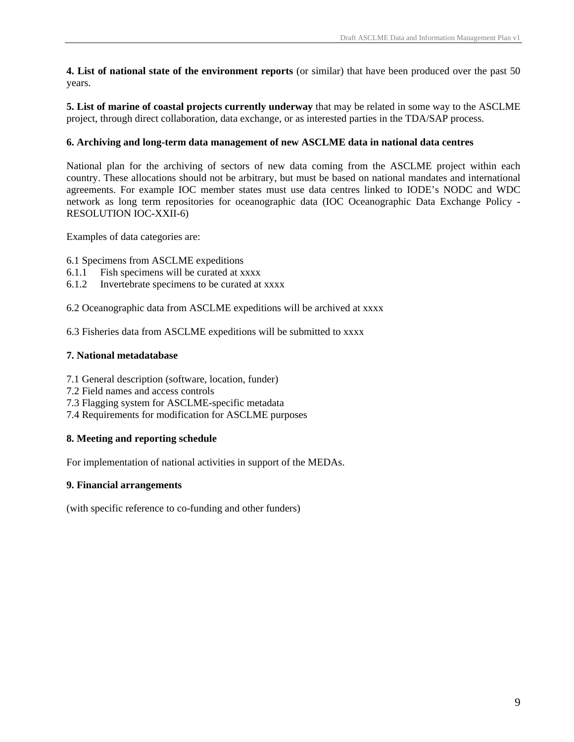**4. List of national state of the environment reports** (or similar) that have been produced over the past 50 years.

**5. List of marine of coastal projects currently underway** that may be related in some way to the ASCLME project, through direct collaboration, data exchange, or as interested parties in the TDA/SAP process.

## **6. Archiving and long-term data management of new ASCLME data in national data centres**

National plan for the archiving of sectors of new data coming from the ASCLME project within each country. These allocations should not be arbitrary, but must be based on national mandates and international agreements. For example IOC member states must use data centres linked to IODE's NODC and WDC network as long term repositories for oceanographic data (IOC Oceanographic Data Exchange Policy - RESOLUTION IOC-XXII-6)

Examples of data categories are:

- 6.1 Specimens from ASCLME expeditions
- 6.1.1 Fish specimens will be curated at xxxx
- 6.1.2 Invertebrate specimens to be curated at xxxx

6.2 Oceanographic data from ASCLME expeditions will be archived at xxxx

6.3 Fisheries data from ASCLME expeditions will be submitted to xxxx

## **7. National metadatabase**

- 7.1 General description (software, location, funder)
- 7.2 Field names and access controls
- 7.3 Flagging system for ASCLME-specific metadata
- 7.4 Requirements for modification for ASCLME purposes

## **8. Meeting and reporting schedule**

For implementation of national activities in support of the MEDAs.

#### **9. Financial arrangements**

(with specific reference to co-funding and other funders)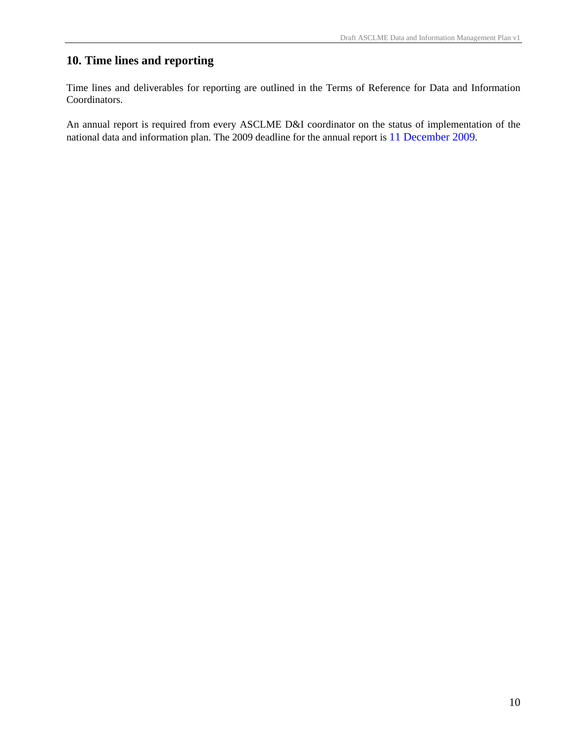# **10. Time lines and reporting**

Time lines and deliverables for reporting are outlined in the Terms of Reference for Data and Information Coordinators.

An annual report is required from every ASCLME D&I coordinator on the status of implementation of the national data and information plan. The 2009 deadline for the annual report is 11 December 2009.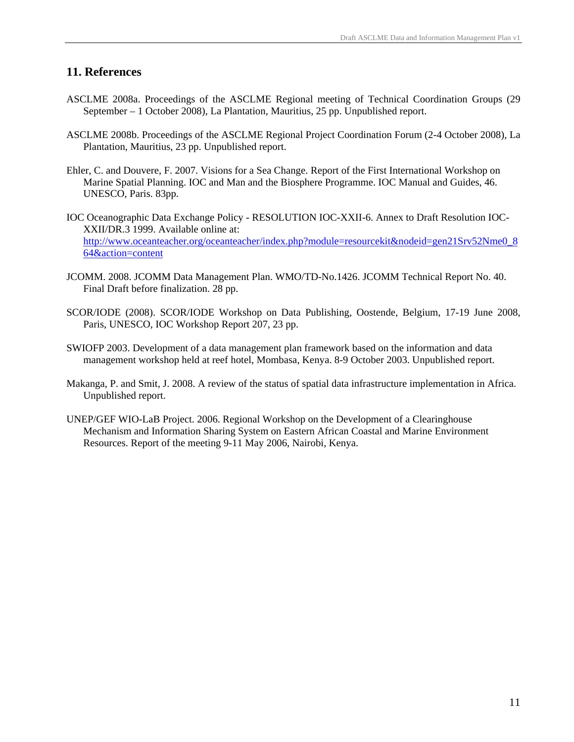# **11. References**

- ASCLME 2008a. Proceedings of the ASCLME Regional meeting of Technical Coordination Groups (29 September – 1 October 2008), La Plantation, Mauritius, 25 pp. Unpublished report.
- ASCLME 2008b. Proceedings of the ASCLME Regional Project Coordination Forum (2-4 October 2008), La Plantation, Mauritius, 23 pp. Unpublished report.
- Ehler, C. and Douvere, F. 2007. Visions for a Sea Change. Report of the First International Workshop on Marine Spatial Planning. IOC and Man and the Biosphere Programme. IOC Manual and Guides, 46. UNESCO, Paris. 83pp.
- IOC Oceanographic Data Exchange Policy RESOLUTION IOC-XXII-6. Annex to Draft Resolution IOC-XXII/DR.3 1999. Available online at: [http://www.oceanteacher.org/oceanteacher/index.php?module=resourcekit&nodeid=gen21Srv52Nme0\\_8](http://www.oceanteacher.org/oceanteacher/index.php?module=resourcekit&nodeid=gen21Srv52Nme0_864&action=content)\_ [64&action=content](http://www.oceanteacher.org/oceanteacher/index.php?module=resourcekit&nodeid=gen21Srv52Nme0_864&action=content)
- JCOMM. 2008. JCOMM Data Management Plan. WMO/TD-No.1426. JCOMM Technical Report No. 40. Final Draft before finalization. 28 pp.
- SCOR/IODE (2008). SCOR/IODE Workshop on Data Publishing, Oostende, Belgium, 17-19 June 2008, Paris, UNESCO, IOC Workshop Report 207, 23 pp.
- SWIOFP 2003. Development of a data management plan framework based on the information and data management workshop held at reef hotel, Mombasa, Kenya. 8-9 October 2003. Unpublished report.
- Makanga, P. and Smit, J. 2008. A review of the status of spatial data infrastructure implementation in Africa. Unpublished report.
- UNEP/GEF WIO-LaB Project. 2006. Regional Workshop on the Development of a Clearinghouse Mechanism and Information Sharing System on Eastern African Coastal and Marine Environment Resources. Report of the meeting 9-11 May 2006, Nairobi, Kenya.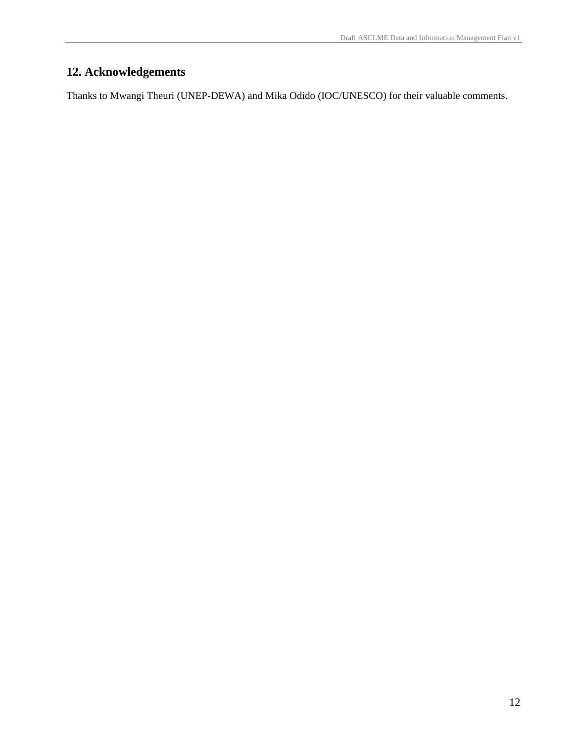# **12. Acknowledgements**

Thanks to Mwangi Theuri (UNEP-DEWA) and Mika Odido (IOC/UNESCO) for their valuable comments.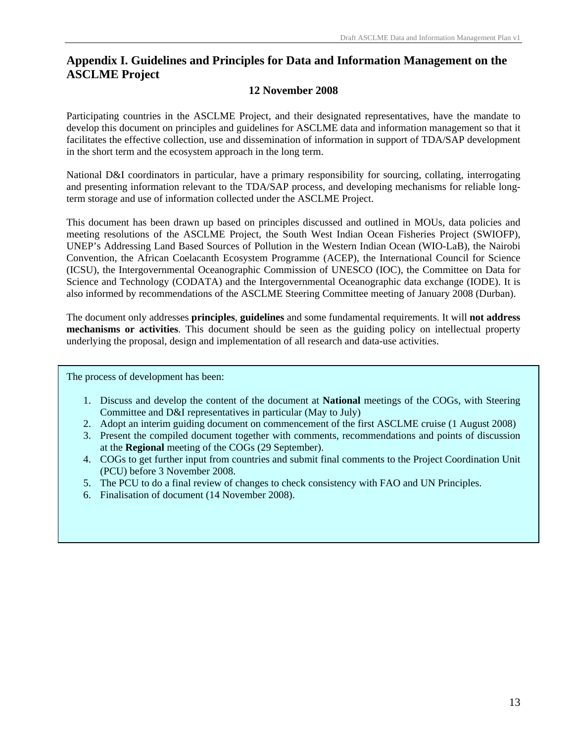# **Appendix I. Guidelines and Principles for Data and Information Management on the ASCLME Project**

# **12 November 2008**

Participating countries in the ASCLME Project, and their designated representatives, have the mandate to develop this document on principles and guidelines for ASCLME data and information management so that it facilitates the effective collection, use and dissemination of information in support of TDA/SAP development in the short term and the ecosystem approach in the long term.

National D&I coordinators in particular, have a primary responsibility for sourcing, collating, interrogating and presenting information relevant to the TDA/SAP process, and developing mechanisms for reliable longterm storage and use of information collected under the ASCLME Project.

This document has been drawn up based on principles discussed and outlined in MOUs, data policies and meeting resolutions of the ASCLME Project, the South West Indian Ocean Fisheries Project (SWIOFP), UNEP's Addressing Land Based Sources of Pollution in the Western Indian Ocean (WIO-LaB), the Nairobi Convention, the African Coelacanth Ecosystem Programme (ACEP), the International Council for Science (ICSU), the Intergovernmental Oceanographic Commission of UNESCO (IOC), the Committee on Data for Science and Technology (CODATA) and the Intergovernmental Oceanographic data exchange (IODE). It is also informed by recommendations of the ASCLME Steering Committee meeting of January 2008 (Durban).

The document only addresses **principles**, **guidelines** and some fundamental requirements. It will **not address mechanisms or activities**. This document should be seen as the guiding policy on intellectual property underlying the proposal, design and implementation of all research and data-use activities.

The process of development has been:

- 1. Discuss and develop the content of the document at **National** meetings of the COGs, with Steering Committee and D&I representatives in particular (May to July)
- 2. Adopt an interim guiding document on commencement of the first ASCLME cruise (1 August 2008)
- 3. Present the compiled document together with comments, recommendations and points of discussion at the **Regional** meeting of the COGs (29 September).
- 4. COGs to get further input from countries and submit final comments to the Project Coordination Unit (PCU) before 3 November 2008.
- 5. The PCU to do a final review of changes to check consistency with FAO and UN Principles.
- 6. Finalisation of document (14 November 2008).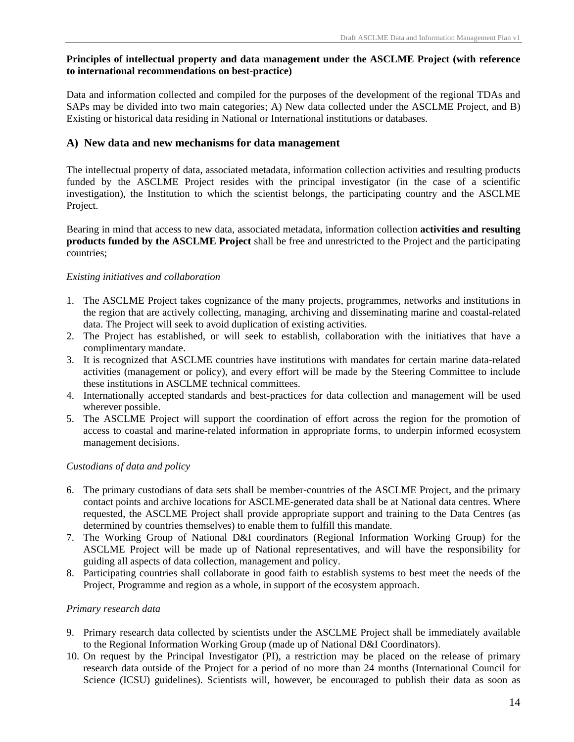#### **Principles of intellectual property and data management under the ASCLME Project (with reference to international recommendations on best-practice)**

Data and information collected and compiled for the purposes of the development of the regional TDAs and SAPs may be divided into two main categories; A) New data collected under the ASCLME Project, and B) Existing or historical data residing in National or International institutions or databases.

# **A) New data and new mechanisms for data management**

The intellectual property of data, associated metadata, information collection activities and resulting products funded by the ASCLME Project resides with the principal investigator (in the case of a scientific investigation), the Institution to which the scientist belongs, the participating country and the ASCLME Project.

Bearing in mind that access to new data, associated metadata, information collection **activities and resulting products funded by the ASCLME Project** shall be free and unrestricted to the Project and the participating countries;

## *Existing initiatives and collaboration*

- 1. The ASCLME Project takes cognizance of the many projects, programmes, networks and institutions in the region that are actively collecting, managing, archiving and disseminating marine and coastal-related data. The Project will seek to avoid duplication of existing activities.
- 2. The Project has established, or will seek to establish, collaboration with the initiatives that have a complimentary mandate.
- 3. It is recognized that ASCLME countries have institutions with mandates for certain marine data-related activities (management or policy), and every effort will be made by the Steering Committee to include these institutions in ASCLME technical committees.
- 4. Internationally accepted standards and best-practices for data collection and management will be used wherever possible.
- 5. The ASCLME Project will support the coordination of effort across the region for the promotion of access to coastal and marine-related information in appropriate forms, to underpin informed ecosystem management decisions.

## *Custodians of data and policy*

- 6. The primary custodians of data sets shall be member-countries of the ASCLME Project, and the primary contact points and archive locations for ASCLME-generated data shall be at National data centres. Where requested, the ASCLME Project shall provide appropriate support and training to the Data Centres (as determined by countries themselves) to enable them to fulfill this mandate.
- 7. The Working Group of National D&I coordinators (Regional Information Working Group) for the ASCLME Project will be made up of National representatives, and will have the responsibility for guiding all aspects of data collection, management and policy.
- 8. Participating countries shall collaborate in good faith to establish systems to best meet the needs of the Project, Programme and region as a whole, in support of the ecosystem approach.

## *Primary research data*

- 9. Primary research data collected by scientists under the ASCLME Project shall be immediately available to the Regional Information Working Group (made up of National D&I Coordinators).
- 10. On request by the Principal Investigator (PI), a restriction may be placed on the release of primary research data outside of the Project for a period of no more than 24 months (International Council for Science (ICSU) guidelines). Scientists will, however, be encouraged to publish their data as soon as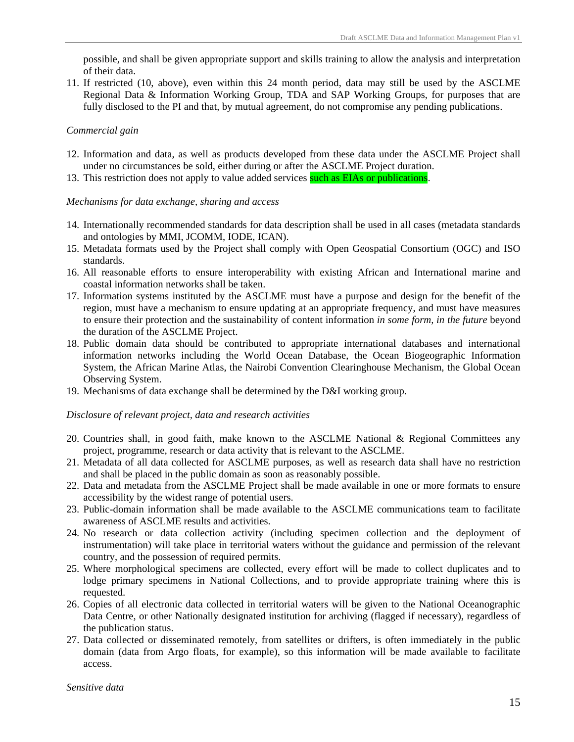possible, and shall be given appropriate support and skills training to allow the analysis and interpretation of their data.

11. If restricted (10, above), even within this 24 month period, data may still be used by the ASCLME Regional Data & Information Working Group, TDA and SAP Working Groups, for purposes that are fully disclosed to the PI and that, by mutual agreement, do not compromise any pending publications.

#### *Commercial gain*

- 12. Information and data, as well as products developed from these data under the ASCLME Project shall under no circumstances be sold, either during or after the ASCLME Project duration.
- 13. This restriction does not apply to value added services such as EIAs or publications.

#### *Mechanisms for data exchange, sharing and access*

- 14. Internationally recommended standards for data description shall be used in all cases (metadata standards and ontologies by MMI, JCOMM, IODE, ICAN).
- 15. Metadata formats used by the Project shall comply with Open Geospatial Consortium (OGC) and ISO standards.
- 16. All reasonable efforts to ensure interoperability with existing African and International marine and coastal information networks shall be taken.
- 17. Information systems instituted by the ASCLME must have a purpose and design for the benefit of the region, must have a mechanism to ensure updating at an appropriate frequency, and must have measures to ensure their protection and the sustainability of content information *in some form, in the future* beyond the duration of the ASCLME Project.
- 18. Public domain data should be contributed to appropriate international databases and international information networks including the World Ocean Database, the Ocean Biogeographic Information System, the African Marine Atlas, the Nairobi Convention Clearinghouse Mechanism, the Global Ocean Observing System.
- 19. Mechanisms of data exchange shall be determined by the D&I working group.

#### *Disclosure of relevant project, data and research activities*

- 20. Countries shall, in good faith, make known to the ASCLME National & Regional Committees any project, programme, research or data activity that is relevant to the ASCLME.
- 21. Metadata of all data collected for ASCLME purposes, as well as research data shall have no restriction and shall be placed in the public domain as soon as reasonably possible.
- 22. Data and metadata from the ASCLME Project shall be made available in one or more formats to ensure accessibility by the widest range of potential users.
- 23. Public-domain information shall be made available to the ASCLME communications team to facilitate awareness of ASCLME results and activities.
- 24. No research or data collection activity (including specimen collection and the deployment of instrumentation) will take place in territorial waters without the guidance and permission of the relevant country, and the possession of required permits.
- 25. Where morphological specimens are collected, every effort will be made to collect duplicates and to lodge primary specimens in National Collections, and to provide appropriate training where this is requested.
- 26. Copies of all electronic data collected in territorial waters will be given to the National Oceanographic Data Centre, or other Nationally designated institution for archiving (flagged if necessary), regardless of the publication status.
- 27. Data collected or disseminated remotely, from satellites or drifters, is often immediately in the public domain (data from Argo floats, for example), so this information will be made available to facilitate access.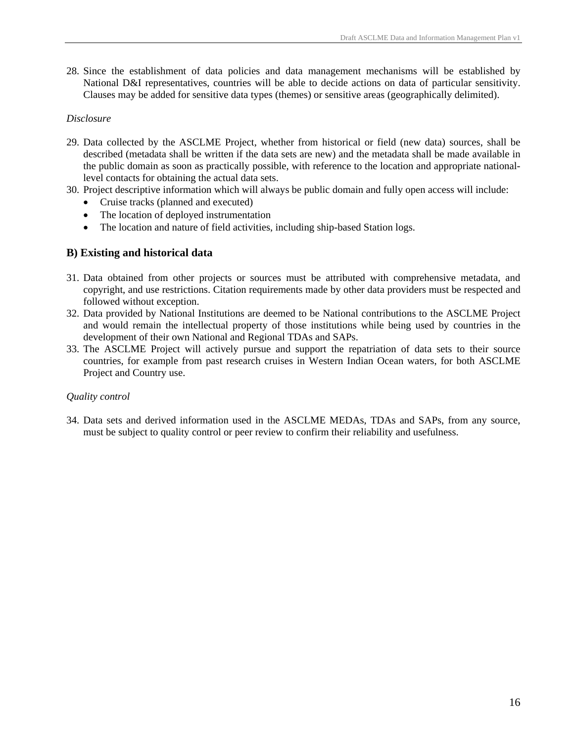28. Since the establishment of data policies and data management mechanisms will be established by National D&I representatives, countries will be able to decide actions on data of particular sensitivity. Clauses may be added for sensitive data types (themes) or sensitive areas (geographically delimited).

## *Disclosure*

- 29. Data collected by the ASCLME Project, whether from historical or field (new data) sources, shall be described (metadata shall be written if the data sets are new) and the metadata shall be made available in the public domain as soon as practically possible, with reference to the location and appropriate nationallevel contacts for obtaining the actual data sets.
- 30. Project descriptive information which will always be public domain and fully open access will include:
	- Cruise tracks (planned and executed)
	- The location of deployed instrumentation
	- The location and nature of field activities, including ship-based Station logs.

# **B) Existing and historical data**

- 31. Data obtained from other projects or sources must be attributed with comprehensive metadata, and copyright, and use restrictions. Citation requirements made by other data providers must be respected and followed without exception.
- 32. Data provided by National Institutions are deemed to be National contributions to the ASCLME Project and would remain the intellectual property of those institutions while being used by countries in the development of their own National and Regional TDAs and SAPs.
- 33. The ASCLME Project will actively pursue and support the repatriation of data sets to their source countries, for example from past research cruises in Western Indian Ocean waters, for both ASCLME Project and Country use.

# *Quality control*

34. Data sets and derived information used in the ASCLME MEDAs, TDAs and SAPs, from any source, must be subject to quality control or peer review to confirm their reliability and usefulness.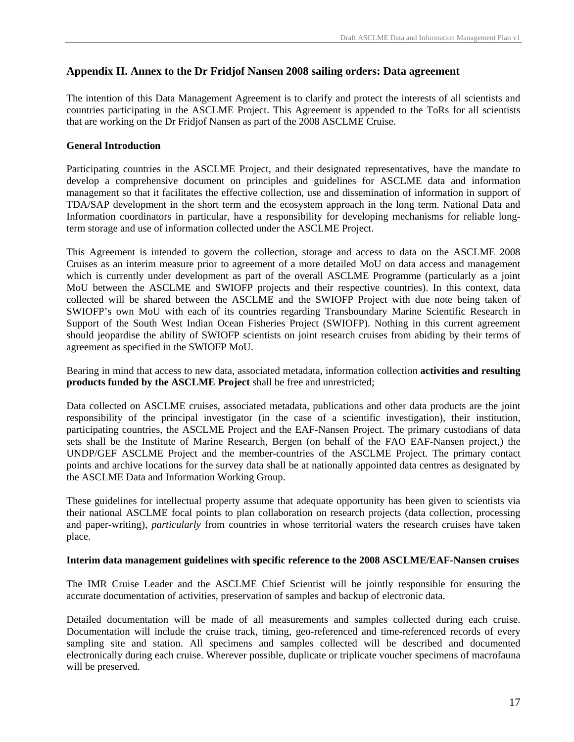# **Appendix II. Annex to the Dr Fridjof Nansen 2008 sailing orders: Data agreement**

The intention of this Data Management Agreement is to clarify and protect the interests of all scientists and countries participating in the ASCLME Project. This Agreement is appended to the ToRs for all scientists that are working on the Dr Fridjof Nansen as part of the 2008 ASCLME Cruise.

#### **General Introduction**

Participating countries in the ASCLME Project, and their designated representatives, have the mandate to develop a comprehensive document on principles and guidelines for ASCLME data and information management so that it facilitates the effective collection, use and dissemination of information in support of TDA/SAP development in the short term and the ecosystem approach in the long term. National Data and Information coordinators in particular, have a responsibility for developing mechanisms for reliable longterm storage and use of information collected under the ASCLME Project.

This Agreement is intended to govern the collection, storage and access to data on the ASCLME 2008 Cruises as an interim measure prior to agreement of a more detailed MoU on data access and management which is currently under development as part of the overall ASCLME Programme (particularly as a joint MoU between the ASCLME and SWIOFP projects and their respective countries). In this context, data collected will be shared between the ASCLME and the SWIOFP Project with due note being taken of SWIOFP's own MoU with each of its countries regarding Transboundary Marine Scientific Research in Support of the South West Indian Ocean Fisheries Project (SWIOFP). Nothing in this current agreement should jeopardise the ability of SWIOFP scientists on joint research cruises from abiding by their terms of agreement as specified in the SWIOFP MoU.

Bearing in mind that access to new data, associated metadata, information collection **activities and resulting products funded by the ASCLME Project** shall be free and unrestricted;

Data collected on ASCLME cruises, associated metadata, publications and other data products are the joint responsibility of the principal investigator (in the case of a scientific investigation), their institution, participating countries, the ASCLME Project and the EAF-Nansen Project. The primary custodians of data sets shall be the Institute of Marine Research, Bergen (on behalf of the FAO EAF-Nansen project,) the UNDP/GEF ASCLME Project and the member-countries of the ASCLME Project. The primary contact points and archive locations for the survey data shall be at nationally appointed data centres as designated by the ASCLME Data and Information Working Group.

These guidelines for intellectual property assume that adequate opportunity has been given to scientists via their national ASCLME focal points to plan collaboration on research projects (data collection, processing and paper-writing), *particularly* from countries in whose territorial waters the research cruises have taken place.

#### **Interim data management guidelines with specific reference to the 2008 ASCLME/EAF-Nansen cruises**

The IMR Cruise Leader and the ASCLME Chief Scientist will be jointly responsible for ensuring the accurate documentation of activities, preservation of samples and backup of electronic data.

Detailed documentation will be made of all measurements and samples collected during each cruise. Documentation will include the cruise track, timing, geo-referenced and time-referenced records of every sampling site and station. All specimens and samples collected will be described and documented electronically during each cruise. Wherever possible, duplicate or triplicate voucher specimens of macrofauna will be preserved.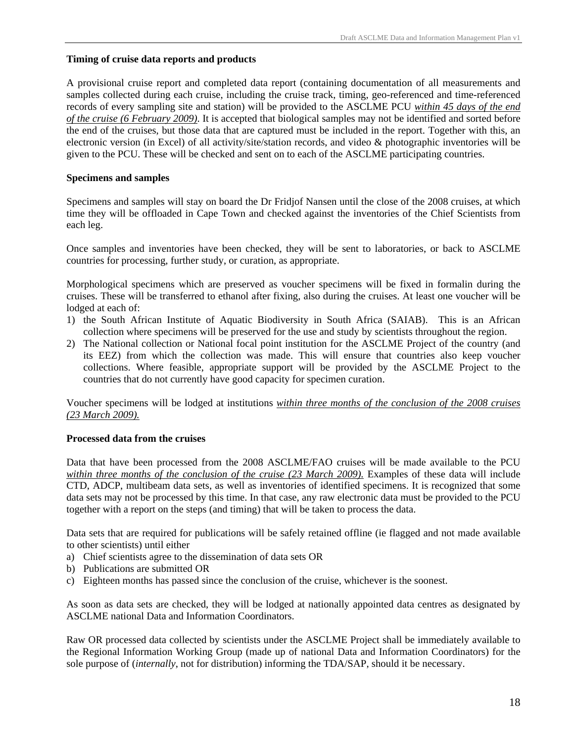#### **Timing of cruise data reports and products**

A provisional cruise report and completed data report (containing documentation of all measurements and samples collected during each cruise, including the cruise track, timing, geo-referenced and time-referenced records of every sampling site and station) will be provided to the ASCLME PCU *within 45 days of the end of the cruise (6 February 2009)*. It is accepted that biological samples may not be identified and sorted before the end of the cruises, but those data that are captured must be included in the report. Together with this, an electronic version (in Excel) of all activity/site/station records, and video & photographic inventories will be given to the PCU. These will be checked and sent on to each of the ASCLME participating countries.

#### **Specimens and samples**

Specimens and samples will stay on board the Dr Fridjof Nansen until the close of the 2008 cruises, at which time they will be offloaded in Cape Town and checked against the inventories of the Chief Scientists from each leg.

Once samples and inventories have been checked, they will be sent to laboratories, or back to ASCLME countries for processing, further study, or curation, as appropriate.

Morphological specimens which are preserved as voucher specimens will be fixed in formalin during the cruises. These will be transferred to ethanol after fixing, also during the cruises. At least one voucher will be lodged at each of:

- 1) the South African Institute of Aquatic Biodiversity in South Africa (SAIAB). This is an African collection where specimens will be preserved for the use and study by scientists throughout the region.
- 2) The National collection or National focal point institution for the ASCLME Project of the country (and its EEZ) from which the collection was made. This will ensure that countries also keep voucher collections. Where feasible, appropriate support will be provided by the ASCLME Project to the countries that do not currently have good capacity for specimen curation.

Voucher specimens will be lodged at institutions *within three months of the conclusion of the 2008 cruises (23 March 2009).*

## **Processed data from the cruises**

Data that have been processed from the 2008 ASCLME/FAO cruises will be made available to the PCU *within three months of the conclusion of the cruise (23 March 2009).* Examples of these data will include CTD, ADCP, multibeam data sets, as well as inventories of identified specimens. It is recognized that some data sets may not be processed by this time. In that case, any raw electronic data must be provided to the PCU together with a report on the steps (and timing) that will be taken to process the data.

Data sets that are required for publications will be safely retained offline (ie flagged and not made available to other scientists) until either

- a) Chief scientists agree to the dissemination of data sets OR
- b) Publications are submitted OR
- c) Eighteen months has passed since the conclusion of the cruise, whichever is the soonest.

As soon as data sets are checked, they will be lodged at nationally appointed data centres as designated by ASCLME national Data and Information Coordinators.

Raw OR processed data collected by scientists under the ASCLME Project shall be immediately available to the Regional Information Working Group (made up of national Data and Information Coordinators) for the sole purpose of (*internally*, not for distribution) informing the TDA/SAP, should it be necessary.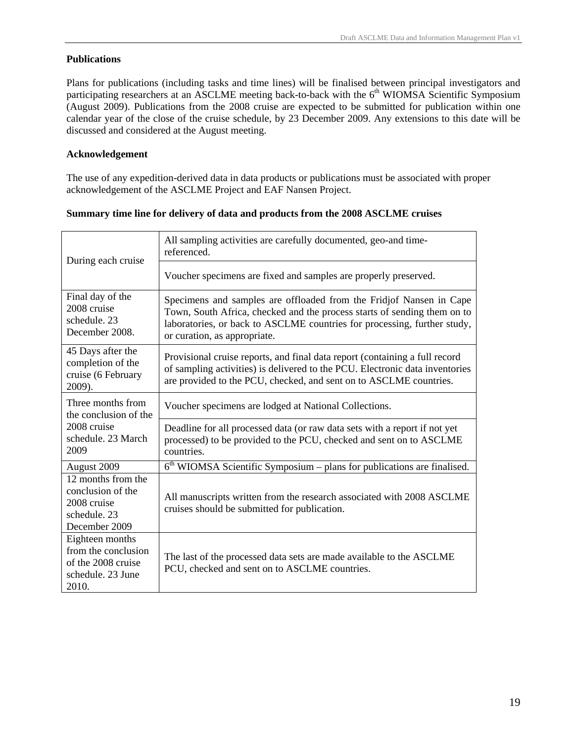## **Publications**

Plans for publications (including tasks and time lines) will be finalised between principal investigators and participating researchers at an ASCLME meeting back-to-back with the 6<sup>th</sup> WIOMSA Scientific Symposium (August 2009). Publications from the 2008 cruise are expected to be submitted for publication within one calendar year of the close of the cruise schedule, by 23 December 2009. Any extensions to this date will be discussed and considered at the August meeting.

#### **Acknowledgement**

The use of any expedition-derived data in data products or publications must be associated with proper acknowledgement of the ASCLME Project and EAF Nansen Project.

| During each cruise                                                                         | All sampling activities are carefully documented, geo-and time-<br>referenced.                                                                                                                                                                              |  |  |
|--------------------------------------------------------------------------------------------|-------------------------------------------------------------------------------------------------------------------------------------------------------------------------------------------------------------------------------------------------------------|--|--|
|                                                                                            | Voucher specimens are fixed and samples are properly preserved.                                                                                                                                                                                             |  |  |
| Final day of the<br>2008 cruise<br>schedule, 23<br>December 2008.                          | Specimens and samples are offloaded from the Fridjof Nansen in Cape<br>Town, South Africa, checked and the process starts of sending them on to<br>laboratories, or back to ASCLME countries for processing, further study,<br>or curation, as appropriate. |  |  |
| 45 Days after the<br>completion of the<br>cruise (6 February<br>2009).                     | Provisional cruise reports, and final data report (containing a full record<br>of sampling activities) is delivered to the PCU. Electronic data inventories<br>are provided to the PCU, checked, and sent on to ASCLME countries.                           |  |  |
| Three months from<br>the conclusion of the                                                 | Voucher specimens are lodged at National Collections.                                                                                                                                                                                                       |  |  |
| 2008 cruise<br>schedule, 23 March<br>2009                                                  | Deadline for all processed data (or raw data sets with a report if not yet<br>processed) to be provided to the PCU, checked and sent on to ASCLME<br>countries.                                                                                             |  |  |
| August 2009                                                                                | $6th$ WIOMSA Scientific Symposium – plans for publications are finalised.                                                                                                                                                                                   |  |  |
| 12 months from the<br>conclusion of the<br>2008 cruise<br>schedule, 23<br>December 2009    | All manuscripts written from the research associated with 2008 ASCLME<br>cruises should be submitted for publication.                                                                                                                                       |  |  |
| Eighteen months<br>from the conclusion<br>of the 2008 cruise<br>schedule, 23 June<br>2010. | The last of the processed data sets are made available to the ASCLME<br>PCU, checked and sent on to ASCLME countries.                                                                                                                                       |  |  |

#### **Summary time line for delivery of data and products from the 2008 ASCLME cruises**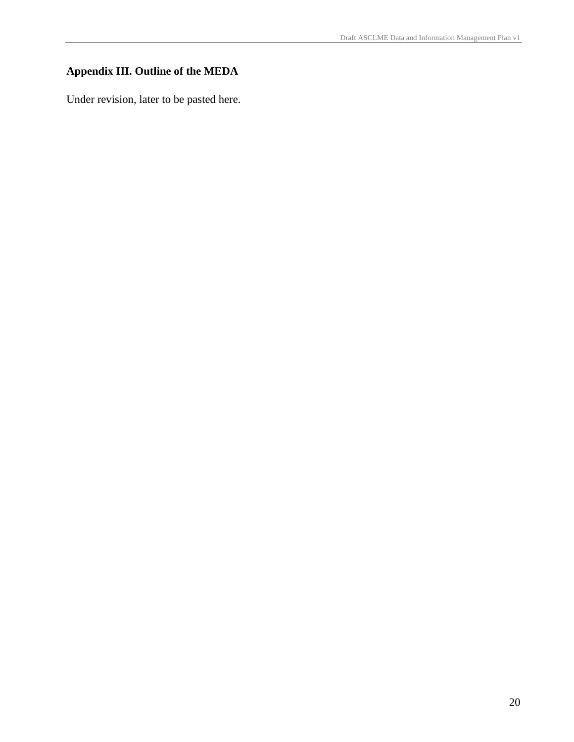# **Appendix III. Outline of the MEDA**

Under revision, later to be pasted here.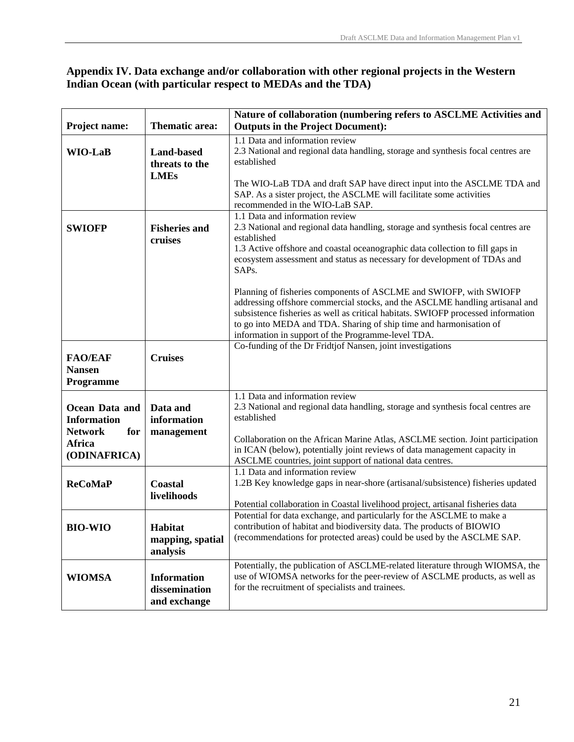# **Appendix IV. Data exchange and/or collaboration with other regional projects in the Western Indian Ocean (with particular respect to MEDAs and the TDA)**

|                                                                                                |                                                     | Nature of collaboration (numbering refers to ASCLME Activities and                                                                                                                                                                                                                                                                                                 |
|------------------------------------------------------------------------------------------------|-----------------------------------------------------|--------------------------------------------------------------------------------------------------------------------------------------------------------------------------------------------------------------------------------------------------------------------------------------------------------------------------------------------------------------------|
| Project name:                                                                                  | Thematic area:                                      | <b>Outputs in the Project Document):</b>                                                                                                                                                                                                                                                                                                                           |
| <b>WIO-LaB</b>                                                                                 | <b>Land-based</b><br>threats to the<br><b>LMEs</b>  | 1.1 Data and information review<br>2.3 National and regional data handling, storage and synthesis focal centres are<br>established                                                                                                                                                                                                                                 |
|                                                                                                |                                                     | The WIO-LaB TDA and draft SAP have direct input into the ASCLME TDA and<br>SAP. As a sister project, the ASCLME will facilitate some activities<br>recommended in the WIO-LaB SAP.                                                                                                                                                                                 |
| <b>SWIOFP</b>                                                                                  | <b>Fisheries and</b><br>cruises                     | 1.1 Data and information review<br>2.3 National and regional data handling, storage and synthesis focal centres are<br>established<br>1.3 Active offshore and coastal oceanographic data collection to fill gaps in<br>ecosystem assessment and status as necessary for development of TDAs and<br>SAP <sub>s</sub> .                                              |
|                                                                                                |                                                     | Planning of fisheries components of ASCLME and SWIOFP, with SWIOFP<br>addressing offshore commercial stocks, and the ASCLME handling artisanal and<br>subsistence fisheries as well as critical habitats. SWIOFP processed information<br>to go into MEDA and TDA. Sharing of ship time and harmonisation of<br>information in support of the Programme-level TDA. |
| <b>FAO/EAF</b><br><b>Nansen</b><br>Programme                                                   | <b>Cruises</b>                                      | Co-funding of the Dr Fridtjof Nansen, joint investigations                                                                                                                                                                                                                                                                                                         |
| Ocean Data and<br><b>Information</b><br><b>Network</b><br>for<br><b>Africa</b><br>(ODINAFRICA) | Data and<br>information<br>management               | 1.1 Data and information review<br>2.3 National and regional data handling, storage and synthesis focal centres are<br>established<br>Collaboration on the African Marine Atlas, ASCLME section. Joint participation<br>in ICAN (below), potentially joint reviews of data management capacity in<br>ASCLME countries, joint support of national data centres.     |
| <b>ReCoMaP</b>                                                                                 | <b>Coastal</b><br>livelihoods                       | 1.1 Data and information review<br>1.2B Key knowledge gaps in near-shore (artisanal/subsistence) fisheries updated<br>Potential collaboration in Coastal livelihood project, artisanal fisheries data                                                                                                                                                              |
| <b>BIO-WIO</b>                                                                                 | Habitat<br>mapping, spatial<br>analysis             | Potential for data exchange, and particularly for the ASCLME to make a<br>contribution of habitat and biodiversity data. The products of BIOWIO<br>(recommendations for protected areas) could be used by the ASCLME SAP.                                                                                                                                          |
| <b>WIOMSA</b>                                                                                  | <b>Information</b><br>dissemination<br>and exchange | Potentially, the publication of ASCLME-related literature through WIOMSA, the<br>use of WIOMSA networks for the peer-review of ASCLME products, as well as<br>for the recruitment of specialists and trainees.                                                                                                                                                     |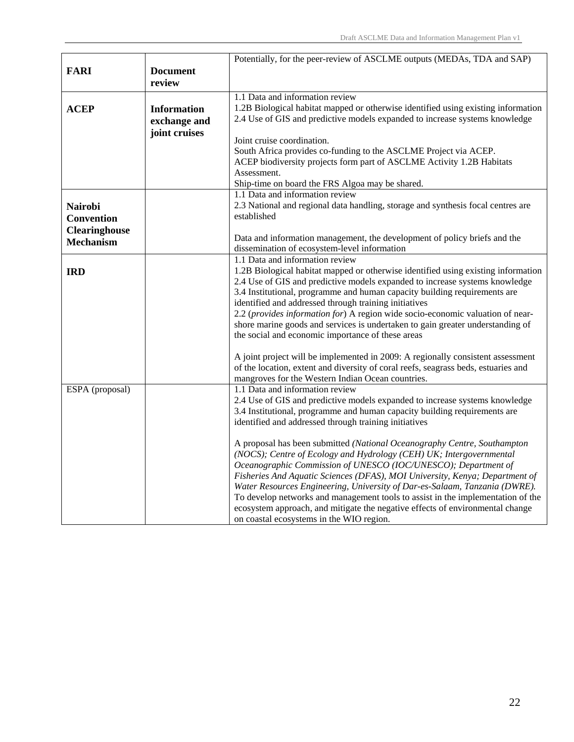|                      |                    | Potentially, for the peer-review of ASCLME outputs (MEDAs, TDA and SAP)            |
|----------------------|--------------------|------------------------------------------------------------------------------------|
| <b>FARI</b>          | <b>Document</b>    |                                                                                    |
|                      | review             |                                                                                    |
|                      |                    |                                                                                    |
|                      |                    | 1.1 Data and information review                                                    |
| <b>ACEP</b>          | <b>Information</b> | 1.2B Biological habitat mapped or otherwise identified using existing information  |
|                      | exchange and       | 2.4 Use of GIS and predictive models expanded to increase systems knowledge        |
|                      | joint cruises      |                                                                                    |
|                      |                    | Joint cruise coordination.                                                         |
|                      |                    | South Africa provides co-funding to the ASCLME Project via ACEP.                   |
|                      |                    | ACEP biodiversity projects form part of ASCLME Activity 1.2B Habitats              |
|                      |                    | Assessment.                                                                        |
|                      |                    |                                                                                    |
|                      |                    | Ship-time on board the FRS Algoa may be shared.                                    |
|                      |                    | 1.1 Data and information review                                                    |
| <b>Nairobi</b>       |                    | 2.3 National and regional data handling, storage and synthesis focal centres are   |
| Convention           |                    | established                                                                        |
| <b>Clearinghouse</b> |                    |                                                                                    |
| <b>Mechanism</b>     |                    | Data and information management, the development of policy briefs and the          |
|                      |                    | dissemination of ecosystem-level information                                       |
|                      |                    | 1.1 Data and information review                                                    |
| <b>IRD</b>           |                    | 1.2B Biological habitat mapped or otherwise identified using existing information  |
|                      |                    | 2.4 Use of GIS and predictive models expanded to increase systems knowledge        |
|                      |                    | 3.4 Institutional, programme and human capacity building requirements are          |
|                      |                    | identified and addressed through training initiatives                              |
|                      |                    | 2.2 (provides information for) A region wide socio-economic valuation of near-     |
|                      |                    | shore marine goods and services is undertaken to gain greater understanding of     |
|                      |                    |                                                                                    |
|                      |                    | the social and economic importance of these areas                                  |
|                      |                    |                                                                                    |
|                      |                    | A joint project will be implemented in 2009: A regionally consistent assessment    |
|                      |                    | of the location, extent and diversity of coral reefs, seagrass beds, estuaries and |
|                      |                    | mangroves for the Western Indian Ocean countries.                                  |
| ESPA (proposal)      |                    | 1.1 Data and information review                                                    |
|                      |                    | 2.4 Use of GIS and predictive models expanded to increase systems knowledge        |
|                      |                    | 3.4 Institutional, programme and human capacity building requirements are          |
|                      |                    | identified and addressed through training initiatives                              |
|                      |                    |                                                                                    |
|                      |                    | A proposal has been submitted (National Oceanography Centre, Southampton           |
|                      |                    | (NOCS); Centre of Ecology and Hydrology (CEH) UK; Intergovernmental                |
|                      |                    | Oceanographic Commission of UNESCO (IOC/UNESCO); Department of                     |
|                      |                    | Fisheries And Aquatic Sciences (DFAS), MOI University, Kenya; Department of        |
|                      |                    |                                                                                    |
|                      |                    | Water Resources Engineering, University of Dar-es-Salaam, Tanzania (DWRE).         |
|                      |                    | To develop networks and management tools to assist in the implementation of the    |
|                      |                    | ecosystem approach, and mitigate the negative effects of environmental change      |
|                      |                    | on coastal ecosystems in the WIO region.                                           |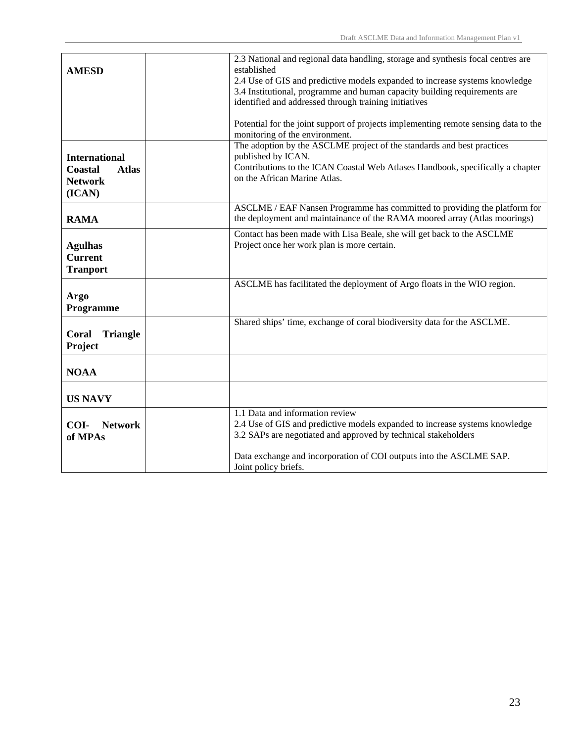| <b>AMESD</b>                   | 2.3 National and regional data handling, storage and synthesis focal centres are<br>established<br>2.4 Use of GIS and predictive models expanded to increase systems knowledge |
|--------------------------------|--------------------------------------------------------------------------------------------------------------------------------------------------------------------------------|
|                                | 3.4 Institutional, programme and human capacity building requirements are                                                                                                      |
|                                | identified and addressed through training initiatives                                                                                                                          |
|                                |                                                                                                                                                                                |
|                                | Potential for the joint support of projects implementing remote sensing data to the<br>monitoring of the environment.                                                          |
|                                | The adoption by the ASCLME project of the standards and best practices                                                                                                         |
| <b>International</b>           | published by ICAN.                                                                                                                                                             |
| <b>Coastal</b><br><b>Atlas</b> | Contributions to the ICAN Coastal Web Atlases Handbook, specifically a chapter                                                                                                 |
|                                | on the African Marine Atlas.                                                                                                                                                   |
| <b>Network</b>                 |                                                                                                                                                                                |
| (ICAN)                         |                                                                                                                                                                                |
|                                | ASCLME / EAF Nansen Programme has committed to providing the platform for                                                                                                      |
| <b>RAMA</b>                    | the deployment and maintainance of the RAMA moored array (Atlas moorings)                                                                                                      |
|                                |                                                                                                                                                                                |
|                                | Contact has been made with Lisa Beale, she will get back to the ASCLME                                                                                                         |
| <b>Agulhas</b>                 | Project once her work plan is more certain.                                                                                                                                    |
|                                |                                                                                                                                                                                |
| <b>Current</b>                 |                                                                                                                                                                                |
| <b>Tranport</b>                |                                                                                                                                                                                |
|                                | ASCLME has facilitated the deployment of Argo floats in the WIO region.                                                                                                        |
| <b>Argo</b>                    |                                                                                                                                                                                |
|                                |                                                                                                                                                                                |
| Programme                      |                                                                                                                                                                                |
|                                | Shared ships' time, exchange of coral biodiversity data for the ASCLME.                                                                                                        |
| <b>Triangle</b><br>Coral       |                                                                                                                                                                                |
|                                |                                                                                                                                                                                |
| <b>Project</b>                 |                                                                                                                                                                                |
|                                |                                                                                                                                                                                |
| <b>NOAA</b>                    |                                                                                                                                                                                |
|                                |                                                                                                                                                                                |
|                                |                                                                                                                                                                                |
| <b>US NAVY</b>                 |                                                                                                                                                                                |
|                                | 1.1 Data and information review                                                                                                                                                |
|                                |                                                                                                                                                                                |
| COI-<br><b>Network</b>         | 2.4 Use of GIS and predictive models expanded to increase systems knowledge                                                                                                    |
| of MPAs                        | 3.2 SAPs are negotiated and approved by technical stakeholders                                                                                                                 |
|                                |                                                                                                                                                                                |
|                                | Data exchange and incorporation of COI outputs into the ASCLME SAP.                                                                                                            |
|                                | Joint policy briefs.                                                                                                                                                           |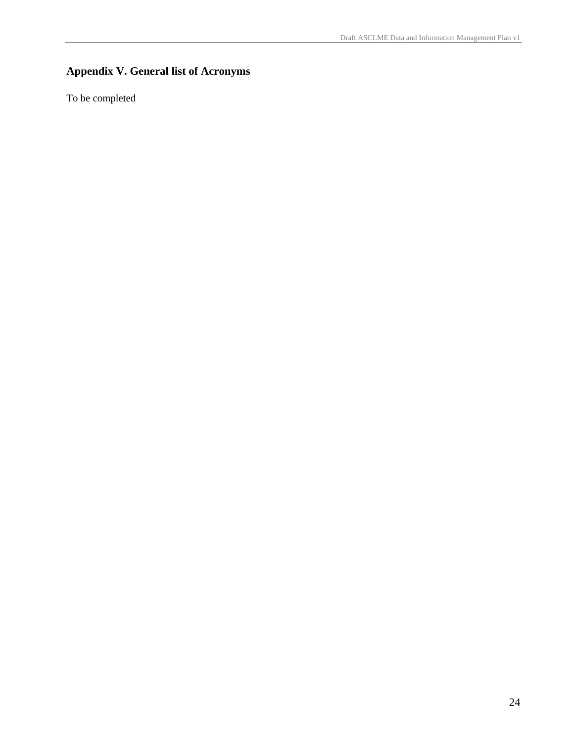# **Appendix V. General list of Acronyms**

To be completed